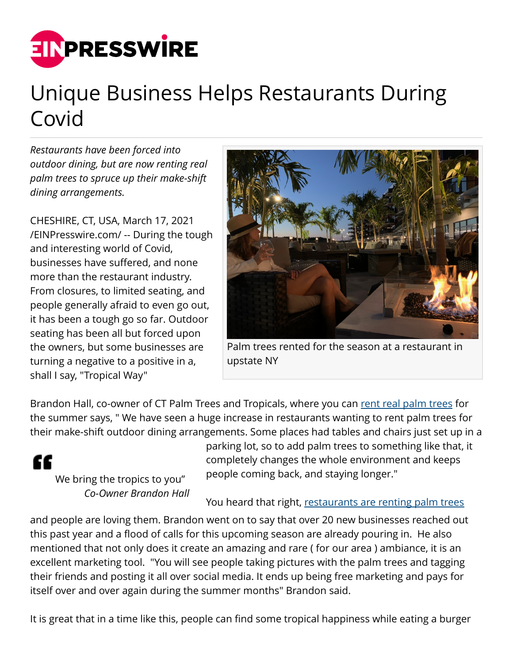

## Unique Business Helps Restaurants During Covid

*Restaurants have been forced into outdoor dining, but are now renting real palm trees to spruce up their make-shift dining arrangements.*

CHESHIRE, CT, USA, March 17, 2021 [/EINPresswire.com/](http://www.einpresswire.com) -- During the tough and interesting world of Covid, businesses have suffered, and none more than the restaurant industry. From closures, to limited seating, and people generally afraid to even go out, it has been a tough go so far. Outdoor seating has been all but forced upon the owners, but some businesses are turning a negative to a positive in a, shall I say, "Tropical Way"



Palm trees rented for the season at a restaurant in upstate NY

Brandon Hall, co-owner of CT Palm Trees and Tropicals, where you can [rent real palm trees](http://www.ctpalmtrees.com) for the summer says, " We have seen a huge increase in restaurants wanting to rent palm trees for their make-shift outdoor dining arrangements. Some places had tables and chairs just set up in a



We bring the tropics to you" *Co-Owner Brandon Hall* parking lot, so to add palm trees to something like that, it completely changes the whole environment and keeps people coming back, and staying longer."

## You heard that right, [restaurants are renting palm trees](http://www.ctpalmtrees.com)

and people are loving them. Brandon went on to say that over 20 new businesses reached out this past year and a flood of calls for this upcoming season are already pouring in. He also mentioned that not only does it create an amazing and rare ( for our area ) ambiance, it is an excellent marketing tool. "You will see people taking pictures with the palm trees and tagging their friends and posting it all over social media. It ends up being free marketing and pays for itself over and over again during the summer months" Brandon said.

It is great that in a time like this, people can find some tropical happiness while eating a burger